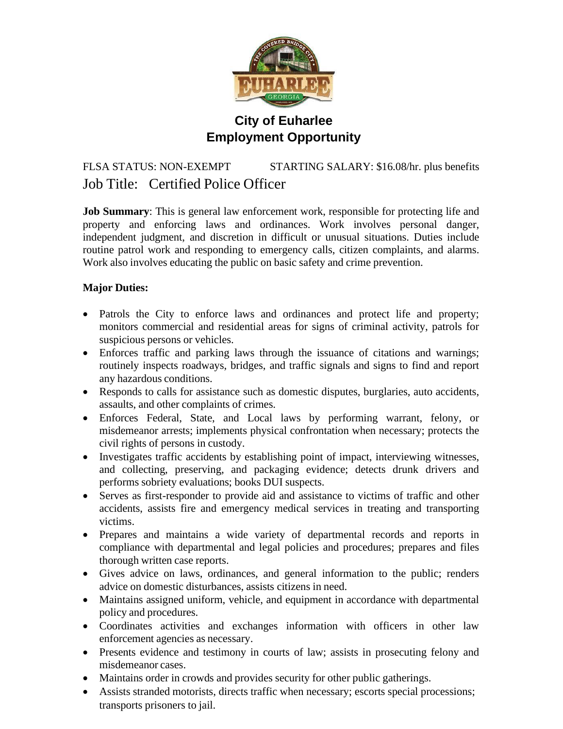

# **City of Euharlee Employment Opportunity**

# FLSA STATUS: NON-EXEMPT STARTING SALARY: \$16.08/hr. plus benefits Job Title: Certified Police Officer

**Job Summary**: This is general law enforcement work, responsible for protecting life and property and enforcing laws and ordinances. Work involves personal danger, independent judgment, and discretion in difficult or unusual situations. Duties include routine patrol work and responding to emergency calls, citizen complaints, and alarms. Work also involves educating the public on basic safety and crime prevention.

# **Major Duties:**

- Patrols the City to enforce laws and ordinances and protect life and property; monitors commercial and residential areas for signs of criminal activity, patrols for suspicious persons or vehicles.
- Enforces traffic and parking laws through the issuance of citations and warnings; routinely inspects roadways, bridges, and traffic signals and signs to find and report any hazardous conditions.
- Responds to calls for assistance such as domestic disputes, burglaries, auto accidents, assaults, and other complaints of crimes.
- Enforces Federal, State, and Local laws by performing warrant, felony, or misdemeanor arrests; implements physical confrontation when necessary; protects the civil rights of persons in custody.
- Investigates traffic accidents by establishing point of impact, interviewing witnesses, and collecting, preserving, and packaging evidence; detects drunk drivers and performs sobriety evaluations; books DUI suspects.
- Serves as first-responder to provide aid and assistance to victims of traffic and other accidents, assists fire and emergency medical services in treating and transporting victims.
- Prepares and maintains a wide variety of departmental records and reports in compliance with departmental and legal policies and procedures; prepares and files thorough written case reports.
- Gives advice on laws, ordinances, and general information to the public; renders advice on domestic disturbances, assists citizens in need.
- Maintains assigned uniform, vehicle, and equipment in accordance with departmental policy and procedures.
- Coordinates activities and exchanges information with officers in other law enforcement agencies as necessary.
- Presents evidence and testimony in courts of law; assists in prosecuting felony and misdemeanor cases.
- Maintains order in crowds and provides security for other public gatherings.
- Assists stranded motorists, directs traffic when necessary; escorts special processions; transports prisoners to jail.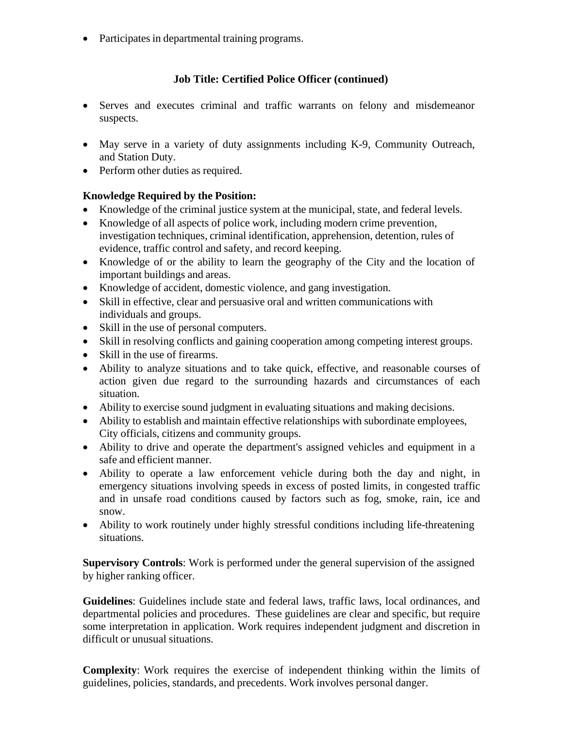• Participates in departmental training programs.

# **Job Title: Certified Police Officer (continued)**

- Serves and executes criminal and traffic warrants on felony and misdemeanor suspects.
- May serve in a variety of duty assignments including K-9, Community Outreach, and Station Duty.
- Perform other duties as required.

# **Knowledge Required by the Position:**

- Knowledge of the criminal justice system at the municipal, state, and federal levels.
- Knowledge of all aspects of police work, including modern crime prevention, investigation techniques, criminal identification, apprehension, detention, rules of evidence, traffic control and safety, and record keeping.
- Knowledge of or the ability to learn the geography of the City and the location of important buildings and areas.
- Knowledge of accident, domestic violence, and gang investigation.
- Skill in effective, clear and persuasive oral and written communications with individuals and groups.
- Skill in the use of personal computers.
- Skill in resolving conflicts and gaining cooperation among competing interest groups.
- Skill in the use of firearms.
- Ability to analyze situations and to take quick, effective, and reasonable courses of action given due regard to the surrounding hazards and circumstances of each situation.
- Ability to exercise sound judgment in evaluating situations and making decisions.
- Ability to establish and maintain effective relationships with subordinate employees, City officials, citizens and community groups.
- Ability to drive and operate the department's assigned vehicles and equipment in a safe and efficient manner.
- Ability to operate a law enforcement vehicle during both the day and night, in emergency situations involving speeds in excess of posted limits, in congested traffic and in unsafe road conditions caused by factors such as fog, smoke, rain, ice and snow.
- Ability to work routinely under highly stressful conditions including life-threatening situations.

**Supervisory Controls**: Work is performed under the general supervision of the assigned by higher ranking officer.

**Guidelines**: Guidelines include state and federal laws, traffic laws, local ordinances, and departmental policies and procedures. These guidelines are clear and specific, but require some interpretation in application. Work requires independent judgment and discretion in difficult or unusual situations.

**Complexity**: Work requires the exercise of independent thinking within the limits of guidelines, policies, standards, and precedents. Work involves personal danger.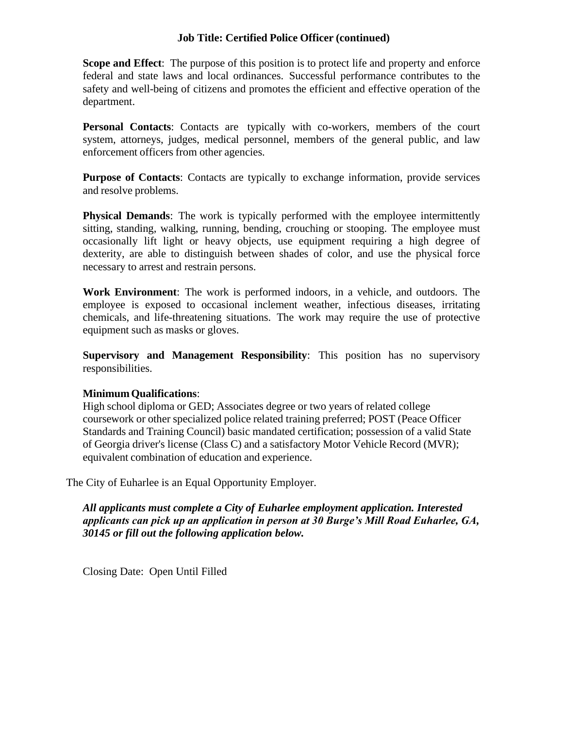### **Job Title: Certified Police Officer (continued)**

**Scope and Effect**: The purpose of this position is to protect life and property and enforce federal and state laws and local ordinances. Successful performance contributes to the safety and well-being of citizens and promotes the efficient and effective operation of the department.

**Personal Contacts**: Contacts are typically with co-workers, members of the court system, attorneys, judges, medical personnel, members of the general public, and law enforcement officers from other agencies.

**Purpose of Contacts**: Contacts are typically to exchange information, provide services and resolve problems.

**Physical Demands**: The work is typically performed with the employee intermittently sitting, standing, walking, running, bending, crouching or stooping. The employee must occasionally lift light or heavy objects, use equipment requiring a high degree of dexterity, are able to distinguish between shades of color, and use the physical force necessary to arrest and restrain persons.

**Work Environment**: The work is performed indoors, in a vehicle, and outdoors. The employee is exposed to occasional inclement weather, infectious diseases, irritating chemicals, and life-threatening situations. The work may require the use of protective equipment such as masks or gloves.

**Supervisory and Management Responsibility**: This position has no supervisory responsibilities.

## **MinimumQualifications**:

High school diploma or GED; Associates degree or two years of related college coursework or other specialized police related training preferred; POST (Peace Officer Standards and Training Council) basic mandated certification; possession of a valid State of Georgia driver's license (Class C) and a satisfactory Motor Vehicle Record (MVR); equivalent combination of education and experience.

The City of Euharlee is an Equal Opportunity Employer.

 *All applicants must complete a City of Euharlee employment application. Interested applicants can pick up an application in person at 30 Burge's Mill Road Euharlee, GA, 30145 or fill out the following application below.*

Closing Date: Open Until Filled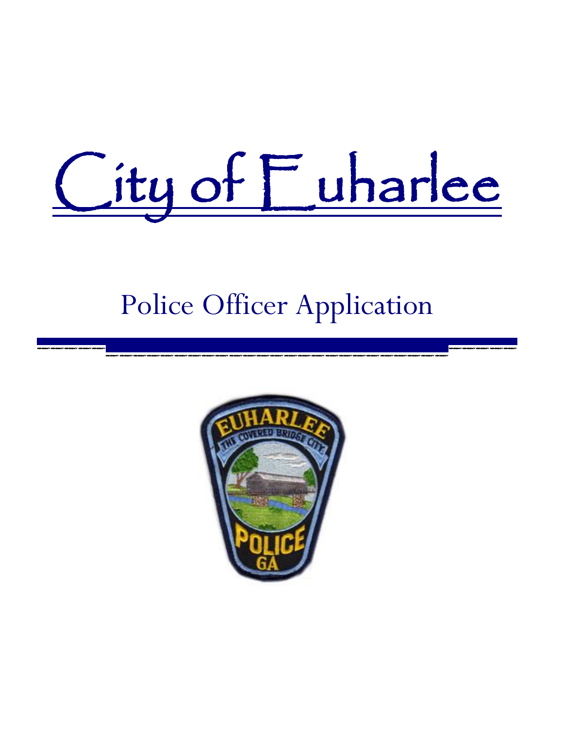# City of Euharlee

# Police Officer Application

\_\_\_\_\_\_\_\_\_\_\_\_\_\_\_\_\_\_\_\_\_\_\_\_\_\_\_\_\_\_\_\_\_\_\_ \_\_\_\_\_\_\_\_\_\_\_\_\_\_\_\_\_\_\_\_\_\_\_\_\_

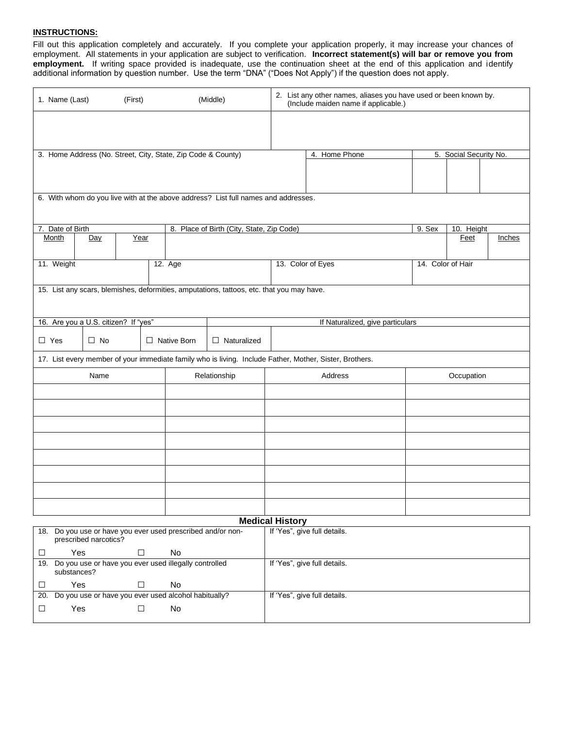#### **INSTRUCTIONS:**

Fill out this application completely and accurately. If you complete your application properly, it may increase your chances of employment. All statements in your application are subject to verification. **Incorrect statement(s) will bar or remove you from employment.** If writing space provided is inadequate, use the continuation sheet at the end of this application and identify additional information by question number. Use the term "DNA" ("Does Not Apply") if the question does not apply.

| 1. Name (Last)            | (First)                              |                                                              | (Middle)                                                                                  | 2. List any other names, aliases you have used or been known by.<br>(Include maiden name if applicable.) |                   |                        |        |  |  |  |
|---------------------------|--------------------------------------|--------------------------------------------------------------|-------------------------------------------------------------------------------------------|----------------------------------------------------------------------------------------------------------|-------------------|------------------------|--------|--|--|--|
|                           |                                      |                                                              |                                                                                           |                                                                                                          |                   |                        |        |  |  |  |
|                           |                                      |                                                              |                                                                                           |                                                                                                          |                   |                        |        |  |  |  |
|                           |                                      | 3. Home Address (No. Street, City, State, Zip Code & County) |                                                                                           | 4. Home Phone                                                                                            |                   | 5. Social Security No. |        |  |  |  |
|                           |                                      |                                                              |                                                                                           |                                                                                                          |                   |                        |        |  |  |  |
|                           |                                      |                                                              |                                                                                           |                                                                                                          |                   |                        |        |  |  |  |
|                           |                                      |                                                              | 6. With whom do you live with at the above address? List full names and addresses.        |                                                                                                          |                   |                        |        |  |  |  |
|                           |                                      |                                                              |                                                                                           |                                                                                                          |                   |                        |        |  |  |  |
| 7. Date of Birth<br>Month | Year<br>Day                          |                                                              | 8. Place of Birth (City, State, Zip Code)                                                 |                                                                                                          | 9. Sex            | 10. Height<br>Feet     | Inches |  |  |  |
|                           |                                      |                                                              |                                                                                           |                                                                                                          |                   |                        |        |  |  |  |
| 11. Weight                |                                      | 12. Age                                                      |                                                                                           | 13. Color of Eyes                                                                                        | 14. Color of Hair |                        |        |  |  |  |
|                           |                                      |                                                              |                                                                                           |                                                                                                          |                   |                        |        |  |  |  |
|                           |                                      |                                                              | 15. List any scars, blemishes, deformities, amputations, tattoos, etc. that you may have. |                                                                                                          |                   |                        |        |  |  |  |
|                           |                                      |                                                              |                                                                                           |                                                                                                          |                   |                        |        |  |  |  |
|                           | 16. Are you a U.S. citizen? If "yes" |                                                              |                                                                                           | If Naturalized, give particulars                                                                         |                   |                        |        |  |  |  |
| $\Box$ Yes                | $\Box$ No                            | □ Native Born                                                | $\Box$ Naturalized                                                                        |                                                                                                          |                   |                        |        |  |  |  |
|                           |                                      |                                                              |                                                                                           | 17. List every member of your immediate family who is living. Include Father, Mother, Sister, Brothers.  |                   |                        |        |  |  |  |
|                           | Name                                 |                                                              | Relationship                                                                              | Address                                                                                                  |                   | Occupation             |        |  |  |  |
|                           |                                      |                                                              |                                                                                           |                                                                                                          |                   |                        |        |  |  |  |
|                           |                                      |                                                              |                                                                                           |                                                                                                          |                   |                        |        |  |  |  |
|                           |                                      |                                                              |                                                                                           |                                                                                                          |                   |                        |        |  |  |  |
|                           |                                      |                                                              |                                                                                           |                                                                                                          |                   |                        |        |  |  |  |
|                           |                                      |                                                              |                                                                                           |                                                                                                          |                   |                        |        |  |  |  |
|                           |                                      |                                                              |                                                                                           |                                                                                                          |                   |                        |        |  |  |  |
|                           |                                      |                                                              |                                                                                           |                                                                                                          |                   |                        |        |  |  |  |
|                           |                                      |                                                              |                                                                                           |                                                                                                          |                   |                        |        |  |  |  |
|                           |                                      |                                                              |                                                                                           | <b>Medical History</b>                                                                                   |                   |                        |        |  |  |  |
|                           | prescribed narcotics?                | 18. Do you use or have you ever used prescribed and/or non-  |                                                                                           | If 'Yes", give full details.                                                                             |                   |                        |        |  |  |  |
| Yes<br>$\Box$             | $\Box$                               | No                                                           |                                                                                           |                                                                                                          |                   |                        |        |  |  |  |
| substances?               |                                      | 19. Do you use or have you ever used illegally controlled    |                                                                                           | If 'Yes", give full details.                                                                             |                   |                        |        |  |  |  |
| Yes<br>$\Box$             | $\Box$                               | No                                                           |                                                                                           |                                                                                                          |                   |                        |        |  |  |  |
| 20.                       |                                      | Do you use or have you ever used alcohol habitually?         |                                                                                           | If 'Yes", give full details.                                                                             |                   |                        |        |  |  |  |
| Yes<br>$\Box$             | $\Box$                               | No                                                           |                                                                                           |                                                                                                          |                   |                        |        |  |  |  |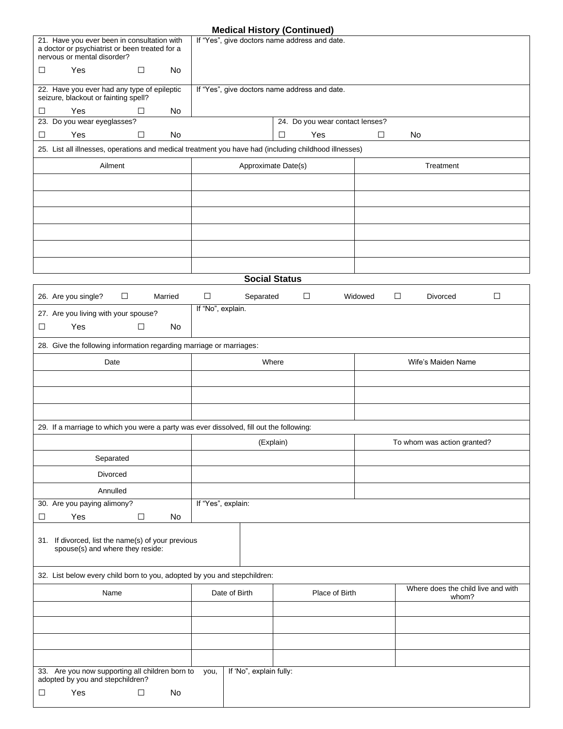#### **Medical History (Continued)**

| 21. Have you ever been in consultation with<br>a doctor or psychiatrist or been treated for a<br>nervous or mental disorder? | If "Yes", give doctors name address and date. |                                 |                   |                                    |  |  |
|------------------------------------------------------------------------------------------------------------------------------|-----------------------------------------------|---------------------------------|-------------------|------------------------------------|--|--|
| Yes<br>$\Box$<br>□<br>No                                                                                                     |                                               |                                 |                   |                                    |  |  |
| 22. Have you ever had any type of epileptic<br>seizure, blackout or fainting spell?                                          | If "Yes", give doctors name address and date. |                                 |                   |                                    |  |  |
| Yes<br>$\Box$<br>□<br>No                                                                                                     |                                               |                                 |                   |                                    |  |  |
| 23. Do you wear eyeglasses?                                                                                                  |                                               | 24. Do you wear contact lenses? |                   |                                    |  |  |
| Yes<br>$\Box$<br>No<br>□                                                                                                     |                                               | Yes<br>$\Box$                   | $\Box$<br>No      |                                    |  |  |
| 25. List all illnesses, operations and medical treatment you have had (including childhood illnesses)                        |                                               |                                 |                   |                                    |  |  |
| Ailment                                                                                                                      |                                               | Approximate Date(s)             |                   | Treatment                          |  |  |
|                                                                                                                              |                                               |                                 |                   |                                    |  |  |
|                                                                                                                              |                                               |                                 |                   |                                    |  |  |
|                                                                                                                              |                                               |                                 |                   |                                    |  |  |
|                                                                                                                              |                                               |                                 |                   |                                    |  |  |
|                                                                                                                              |                                               |                                 |                   |                                    |  |  |
|                                                                                                                              |                                               |                                 |                   |                                    |  |  |
|                                                                                                                              |                                               | <b>Social Status</b>            |                   |                                    |  |  |
| $\Box$<br>26. Are you single?<br>Married                                                                                     | $\Box$<br>Separated                           | $\Box$                          | $\Box$<br>Widowed | $\Box$<br>Divorced                 |  |  |
| 27. Are you living with your spouse?                                                                                         | If "No", explain.                             |                                 |                   |                                    |  |  |
| Yes<br>$\Box$<br>No<br>□                                                                                                     |                                               |                                 |                   |                                    |  |  |
| 28. Give the following information regarding marriage or marriages:                                                          |                                               |                                 |                   |                                    |  |  |
| Date                                                                                                                         |                                               | Where                           |                   | Wife's Maiden Name                 |  |  |
|                                                                                                                              |                                               |                                 |                   |                                    |  |  |
|                                                                                                                              |                                               |                                 |                   |                                    |  |  |
|                                                                                                                              |                                               |                                 |                   |                                    |  |  |
| 29. If a marriage to which you were a party was ever dissolved, fill out the following:                                      |                                               |                                 |                   |                                    |  |  |
|                                                                                                                              |                                               | (Explain)                       |                   | To whom was action granted?        |  |  |
| Separated                                                                                                                    |                                               |                                 |                   |                                    |  |  |
| Divorced                                                                                                                     |                                               |                                 |                   |                                    |  |  |
| Annulled                                                                                                                     |                                               |                                 |                   |                                    |  |  |
| 30. Are you paying alimony?                                                                                                  | If "Yes", explain:                            |                                 |                   |                                    |  |  |
| Yes<br>$\Box$<br>No<br>□                                                                                                     |                                               |                                 |                   |                                    |  |  |
| 31. If divorced, list the name(s) of your previous<br>spouse(s) and where they reside:                                       |                                               |                                 |                   |                                    |  |  |
| 32. List below every child born to you, adopted by you and stepchildren:                                                     |                                               |                                 |                   |                                    |  |  |
| Name                                                                                                                         | Date of Birth                                 | Place of Birth                  |                   | Where does the child live and with |  |  |
|                                                                                                                              |                                               |                                 |                   | whom?                              |  |  |
|                                                                                                                              |                                               |                                 |                   |                                    |  |  |
|                                                                                                                              |                                               |                                 |                   |                                    |  |  |
|                                                                                                                              |                                               |                                 |                   |                                    |  |  |
| 33. Are you now supporting all children born to<br>adopted by you and stepchildren?                                          | If 'No", explain fully:<br>you,               |                                 |                   |                                    |  |  |
| Yes<br>$\Box$<br>No<br>$\Box$                                                                                                |                                               |                                 |                   |                                    |  |  |
|                                                                                                                              |                                               |                                 |                   |                                    |  |  |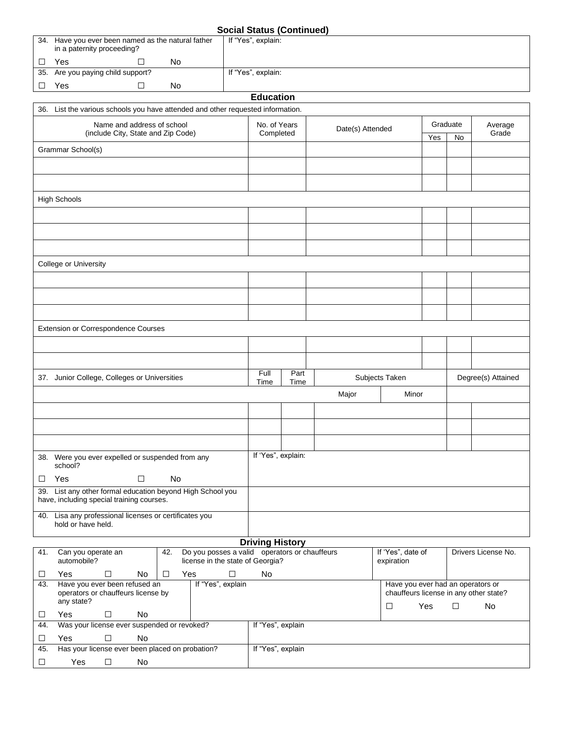| <b>Social Status (Continued)</b> |
|----------------------------------|
|----------------------------------|

| 34. Have you ever been named as the natural father<br>in a paternity proceeding?                | If "Yes", explain:     | --------- |                  |                                                                             |     |          |                     |
|-------------------------------------------------------------------------------------------------|------------------------|-----------|------------------|-----------------------------------------------------------------------------|-----|----------|---------------------|
| No<br>Yes<br>□<br>⊔                                                                             |                        |           |                  |                                                                             |     |          |                     |
| 35. Are you paying child support?                                                               | If "Yes", explain:     |           |                  |                                                                             |     |          |                     |
| $\Box$<br>Yes<br>No<br>⊔                                                                        |                        |           |                  |                                                                             |     |          |                     |
|                                                                                                 | <b>Education</b>       |           |                  |                                                                             |     |          |                     |
| 36. List the various schools you have attended and other requested information.                 |                        |           |                  |                                                                             |     |          |                     |
| Name and address of school                                                                      | No. of Years           |           |                  |                                                                             |     | Graduate | Average             |
| (include City, State and Zip Code)                                                              | Completed              |           | Date(s) Attended |                                                                             | Yes | No       | Grade               |
| Grammar School(s)                                                                               |                        |           |                  |                                                                             |     |          |                     |
|                                                                                                 |                        |           |                  |                                                                             |     |          |                     |
|                                                                                                 |                        |           |                  |                                                                             |     |          |                     |
|                                                                                                 |                        |           |                  |                                                                             |     |          |                     |
| <b>High Schools</b>                                                                             |                        |           |                  |                                                                             |     |          |                     |
|                                                                                                 |                        |           |                  |                                                                             |     |          |                     |
|                                                                                                 |                        |           |                  |                                                                             |     |          |                     |
|                                                                                                 |                        |           |                  |                                                                             |     |          |                     |
|                                                                                                 |                        |           |                  |                                                                             |     |          |                     |
| College or University                                                                           |                        |           |                  |                                                                             |     |          |                     |
|                                                                                                 |                        |           |                  |                                                                             |     |          |                     |
|                                                                                                 |                        |           |                  |                                                                             |     |          |                     |
|                                                                                                 |                        |           |                  |                                                                             |     |          |                     |
|                                                                                                 |                        |           |                  |                                                                             |     |          |                     |
| Extension or Correspondence Courses                                                             |                        |           |                  |                                                                             |     |          |                     |
|                                                                                                 |                        |           |                  |                                                                             |     |          |                     |
|                                                                                                 |                        |           |                  |                                                                             |     |          |                     |
|                                                                                                 |                        |           |                  |                                                                             |     |          |                     |
| 37. Junior College, Colleges or Universities                                                    | Full                   | Part      |                  | Subjects Taken                                                              |     |          | Degree(s) Attained  |
|                                                                                                 | Time                   | Time      |                  |                                                                             |     |          |                     |
|                                                                                                 |                        |           | Major            | Minor                                                                       |     |          |                     |
|                                                                                                 |                        |           |                  |                                                                             |     |          |                     |
|                                                                                                 |                        |           |                  |                                                                             |     |          |                     |
|                                                                                                 |                        |           |                  |                                                                             |     |          |                     |
|                                                                                                 | If 'Yes", explain:     |           |                  |                                                                             |     |          |                     |
| 38. Were you ever expelled or suspended from any<br>school?                                     |                        |           |                  |                                                                             |     |          |                     |
| Yes<br>No<br>□<br>□                                                                             |                        |           |                  |                                                                             |     |          |                     |
| 39. List any other formal education beyond High School you                                      |                        |           |                  |                                                                             |     |          |                     |
| have, including special training courses.                                                       |                        |           |                  |                                                                             |     |          |                     |
| 40. Lisa any professional licenses or certificates you                                          |                        |           |                  |                                                                             |     |          |                     |
| hold or have held.                                                                              |                        |           |                  |                                                                             |     |          |                     |
|                                                                                                 | <b>Driving History</b> |           |                  |                                                                             |     |          |                     |
| Do you posses a valid operators or chauffeurs<br>Can you operate an<br>42.<br>41.               |                        |           |                  | If 'Yes", date of                                                           |     |          | Drivers License No. |
| automobile?<br>license in the state of Georgia?                                                 |                        |           |                  | expiration                                                                  |     |          |                     |
| $\Box$<br>No<br>$\Box$<br>$\Box$<br>Yes<br>Yes<br>□                                             | No                     |           |                  |                                                                             |     |          |                     |
| Have you ever been refused an<br>If "Yes", explain<br>43.<br>operators or chauffeurs license by |                        |           |                  | Have you ever had an operators or<br>chauffeurs license in any other state? |     |          |                     |
| any state?                                                                                      |                        |           |                  | □                                                                           | Yes | □        | No                  |
| Yes<br>$\Box$<br>No<br>⊔                                                                        |                        |           |                  |                                                                             |     |          |                     |
| Was your license ever suspended or revoked?<br>44.                                              | If "Yes", explain      |           |                  |                                                                             |     |          |                     |
| Yes<br>$\Box$<br>No<br>□                                                                        |                        |           |                  |                                                                             |     |          |                     |
| Has your license ever been placed on probation?<br>45.                                          | If "Yes", explain      |           |                  |                                                                             |     |          |                     |
| $\Box$<br>$\Box$<br>Yes<br>No                                                                   |                        |           |                  |                                                                             |     |          |                     |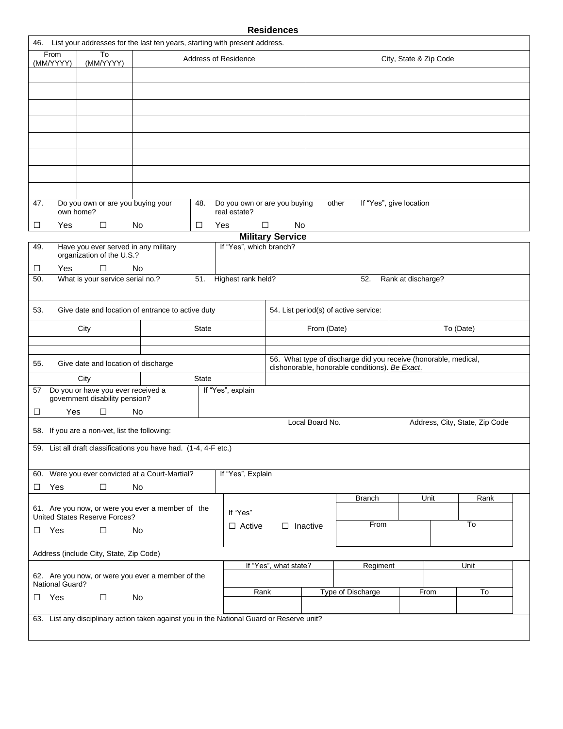#### **Residences**

|                      |                                                                                            | 46. List your addresses for the last ten years, starting with present address.            |              |                                              |                         |                 |  |                                                                                                                   |                        |  |                                |
|----------------------|--------------------------------------------------------------------------------------------|-------------------------------------------------------------------------------------------|--------------|----------------------------------------------|-------------------------|-----------------|--|-------------------------------------------------------------------------------------------------------------------|------------------------|--|--------------------------------|
| From<br>(MM/YYYY)    | To<br>(MM/YYYY)                                                                            |                                                                                           |              | <b>Address of Residence</b>                  |                         |                 |  |                                                                                                                   | City, State & Zip Code |  |                                |
|                      |                                                                                            |                                                                                           |              |                                              |                         |                 |  |                                                                                                                   |                        |  |                                |
|                      |                                                                                            |                                                                                           |              |                                              |                         |                 |  |                                                                                                                   |                        |  |                                |
|                      |                                                                                            |                                                                                           |              |                                              |                         |                 |  |                                                                                                                   |                        |  |                                |
|                      |                                                                                            |                                                                                           |              |                                              |                         |                 |  |                                                                                                                   |                        |  |                                |
|                      |                                                                                            |                                                                                           |              |                                              |                         |                 |  |                                                                                                                   |                        |  |                                |
|                      |                                                                                            |                                                                                           |              |                                              |                         |                 |  |                                                                                                                   |                        |  |                                |
|                      |                                                                                            |                                                                                           |              |                                              |                         |                 |  |                                                                                                                   |                        |  |                                |
|                      |                                                                                            |                                                                                           |              |                                              |                         |                 |  |                                                                                                                   |                        |  |                                |
| 47.                  | Do you own or are you buying your<br>own home?                                             |                                                                                           | 48.          | Do you own or are you buying<br>real estate? |                         | other           |  | If "Yes", give location                                                                                           |                        |  |                                |
| Yes<br>⊔             | $\Box$                                                                                     | No                                                                                        | Yes<br>□     |                                              | □<br>No                 |                 |  |                                                                                                                   |                        |  |                                |
|                      |                                                                                            |                                                                                           |              |                                              | <b>Military Service</b> |                 |  |                                                                                                                   |                        |  |                                |
| 49.<br>Yes<br>$\Box$ | organization of the U.S.?<br>$\Box$                                                        | Have you ever served in any military<br>No                                                |              | If "Yes", which branch?                      |                         |                 |  |                                                                                                                   |                        |  |                                |
| 50.                  | What is your service serial no.?<br>Highest rank held?<br>51.<br>52.<br>Rank at discharge? |                                                                                           |              |                                              |                         |                 |  |                                                                                                                   |                        |  |                                |
|                      |                                                                                            |                                                                                           |              |                                              |                         |                 |  |                                                                                                                   |                        |  |                                |
| 53.                  | Give date and location of entrance to active duty<br>54. List period(s) of active service: |                                                                                           |              |                                              |                         |                 |  |                                                                                                                   |                        |  |                                |
|                      | City                                                                                       |                                                                                           | <b>State</b> |                                              |                         | From (Date)     |  |                                                                                                                   |                        |  | To (Date)                      |
|                      |                                                                                            |                                                                                           |              |                                              |                         |                 |  |                                                                                                                   |                        |  |                                |
| 55.                  | Give date and location of discharge                                                        |                                                                                           |              |                                              |                         |                 |  | 56. What type of discharge did you receive (honorable, medical,<br>dishonorable, honorable conditions). Be Exact. |                        |  |                                |
|                      | City                                                                                       |                                                                                           | <b>State</b> |                                              |                         |                 |  |                                                                                                                   |                        |  |                                |
| 57                   | Do you or have you ever received a<br>government disability pension?                       |                                                                                           |              | If "Yes", explain                            |                         |                 |  |                                                                                                                   |                        |  |                                |
| □                    | $\Box$<br>Yes                                                                              | No                                                                                        |              |                                              |                         |                 |  |                                                                                                                   |                        |  |                                |
|                      | 58. If you are a non-vet, list the following:                                              |                                                                                           |              |                                              |                         | Local Board No. |  |                                                                                                                   |                        |  | Address, City, State, Zip Code |
| 59.                  |                                                                                            | List all draft classifications you have had. (1-4, 4-F etc.)                              |              |                                              |                         |                 |  |                                                                                                                   |                        |  |                                |
|                      |                                                                                            |                                                                                           |              |                                              |                         |                 |  |                                                                                                                   |                        |  |                                |
|                      |                                                                                            | 60. Were you ever convicted at a Court-Martial?                                           |              | If "Yes", Explain                            |                         |                 |  |                                                                                                                   |                        |  |                                |
| $\Box$ Yes           | $\Box$                                                                                     | No.                                                                                       |              |                                              |                         |                 |  | <b>Branch</b>                                                                                                     | Unit                   |  | Rank                           |
|                      | United States Reserve Forces?                                                              | 61. Are you now, or were you ever a member of the                                         |              | If "Yes"                                     |                         |                 |  |                                                                                                                   |                        |  |                                |
| $\Box$ Yes           | $\Box$                                                                                     | No                                                                                        |              | $\Box$ Active                                | $\Box$ Inactive         |                 |  | From                                                                                                              |                        |  | To                             |
|                      |                                                                                            |                                                                                           |              |                                              |                         |                 |  |                                                                                                                   |                        |  |                                |
|                      | Address (include City, State, Zip Code)                                                    |                                                                                           |              |                                              |                         |                 |  |                                                                                                                   |                        |  |                                |
|                      |                                                                                            | 62. Are you now, or were you ever a member of the                                         |              |                                              | If "Yes", what state?   |                 |  | Regiment                                                                                                          |                        |  | Unit                           |
| National Guard?      |                                                                                            |                                                                                           |              | Rank                                         |                         |                 |  | Type of Discharge                                                                                                 | From                   |  | To                             |
| $\Box$ Yes           | $\Box$                                                                                     | No                                                                                        |              |                                              |                         |                 |  |                                                                                                                   |                        |  |                                |
|                      |                                                                                            | 63. List any disciplinary action taken against you in the National Guard or Reserve unit? |              |                                              |                         |                 |  |                                                                                                                   |                        |  |                                |
|                      |                                                                                            |                                                                                           |              |                                              |                         |                 |  |                                                                                                                   |                        |  |                                |
|                      |                                                                                            |                                                                                           |              |                                              |                         |                 |  |                                                                                                                   |                        |  |                                |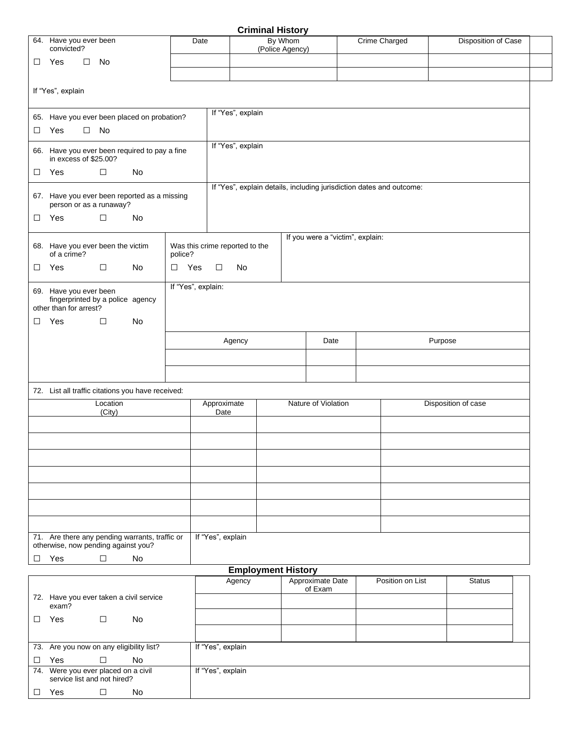|        |                                                                                      |                    |                |                    |                                | <b>Criminal History</b>    |                                            |                                                                      |                     |  |  |  |
|--------|--------------------------------------------------------------------------------------|--------------------|----------------|--------------------|--------------------------------|----------------------------|--------------------------------------------|----------------------------------------------------------------------|---------------------|--|--|--|
|        | 64. Have you ever been<br>convicted?                                                 |                    |                | Date               |                                | By Whom<br>(Police Agency) |                                            | <b>Crime Charged</b>                                                 | Disposition of Case |  |  |  |
| $\Box$ | Yes                                                                                  | $\square$ No       |                |                    |                                |                            |                                            |                                                                      |                     |  |  |  |
|        |                                                                                      |                    |                |                    |                                |                            |                                            |                                                                      |                     |  |  |  |
|        | If "Yes", explain                                                                    |                    |                |                    |                                |                            |                                            |                                                                      |                     |  |  |  |
|        | 65. Have you ever been placed on probation?                                          |                    |                |                    | If "Yes", explain              |                            |                                            |                                                                      |                     |  |  |  |
| □      | Yes                                                                                  | $\square$ No       |                |                    |                                |                            |                                            |                                                                      |                     |  |  |  |
|        | 66. Have you ever been required to pay a fine<br>in excess of \$25.00?               |                    |                |                    | If "Yes", explain              |                            |                                            |                                                                      |                     |  |  |  |
| $\Box$ | Yes                                                                                  | □                  | No             |                    |                                |                            |                                            |                                                                      |                     |  |  |  |
|        | 67. Have you ever been reported as a missing<br>person or as a runaway?              |                    |                |                    |                                |                            |                                            | If "Yes", explain details, including jurisdiction dates and outcome: |                     |  |  |  |
| $\Box$ | Yes                                                                                  | $\Box$             | No             |                    |                                |                            |                                            |                                                                      |                     |  |  |  |
|        | 68. Have you ever been the victim<br>of a crime?                                     |                    |                | police?            | Was this crime reported to the |                            | If you were a "victim", explain:           |                                                                      |                     |  |  |  |
| $\Box$ | Yes                                                                                  | $\Box$             | No             | Yes<br>$\Box$      | $\Box$<br>No                   |                            |                                            |                                                                      |                     |  |  |  |
|        | 69. Have you ever been<br>fingerprinted by a police agency<br>other than for arrest? |                    |                | If "Yes", explain: |                                |                            |                                            |                                                                      |                     |  |  |  |
| $\Box$ | Yes                                                                                  | $\Box$             | <b>No</b>      |                    |                                |                            |                                            |                                                                      |                     |  |  |  |
|        |                                                                                      |                    |                |                    | Purpose<br>Agency<br>Date      |                            |                                            |                                                                      |                     |  |  |  |
|        |                                                                                      |                    |                |                    |                                |                            |                                            |                                                                      |                     |  |  |  |
|        |                                                                                      |                    |                |                    |                                |                            |                                            |                                                                      |                     |  |  |  |
|        | 72. List all traffic citations you have received:                                    |                    |                |                    |                                |                            |                                            |                                                                      |                     |  |  |  |
|        |                                                                                      | Location<br>(City) |                |                    | Approximate<br>Date            |                            | Nature of Violation<br>Disposition of case |                                                                      |                     |  |  |  |
|        |                                                                                      |                    |                |                    |                                |                            |                                            |                                                                      |                     |  |  |  |
|        |                                                                                      |                    |                |                    |                                |                            |                                            |                                                                      |                     |  |  |  |
|        |                                                                                      |                    |                |                    |                                |                            |                                            |                                                                      |                     |  |  |  |
|        |                                                                                      |                    |                |                    |                                |                            |                                            |                                                                      |                     |  |  |  |
|        |                                                                                      |                    |                |                    |                                |                            |                                            |                                                                      |                     |  |  |  |
|        |                                                                                      |                    |                |                    |                                |                            |                                            |                                                                      |                     |  |  |  |
|        |                                                                                      |                    |                |                    |                                |                            |                                            |                                                                      |                     |  |  |  |
|        | 71. Are there any pending warrants, traffic or                                       |                    |                |                    | If "Yes", explain              |                            |                                            |                                                                      |                     |  |  |  |
| □      | otherwise, now pending against you?<br>Yes                                           | $\Box$             | No             |                    |                                |                            |                                            |                                                                      |                     |  |  |  |
|        |                                                                                      |                    |                |                    |                                | <b>Employment History</b>  |                                            |                                                                      |                     |  |  |  |
|        |                                                                                      |                    |                |                    | Agency                         |                            | Approximate Date<br>of Exam                | Position on List                                                     | <b>Status</b>       |  |  |  |
|        | 72. Have you ever taken a civil service<br>exam?                                     |                    |                |                    |                                |                            |                                            |                                                                      |                     |  |  |  |
| $\Box$ | Yes                                                                                  | $\Box$             | No             |                    |                                |                            |                                            |                                                                      |                     |  |  |  |
|        |                                                                                      |                    |                |                    |                                |                            |                                            |                                                                      |                     |  |  |  |
|        | 73. Are you now on any eligibility list?<br>$V_{\alpha}$                             | $\Box$             | N <sub>0</sub> |                    | If "Yes", explain              |                            |                                            |                                                                      |                     |  |  |  |

| Yes                                                                | No |                   |
|--------------------------------------------------------------------|----|-------------------|
| 74. Were you ever placed on a civil<br>service list and not hired? |    | If "Yes", explain |
| Yes                                                                | No |                   |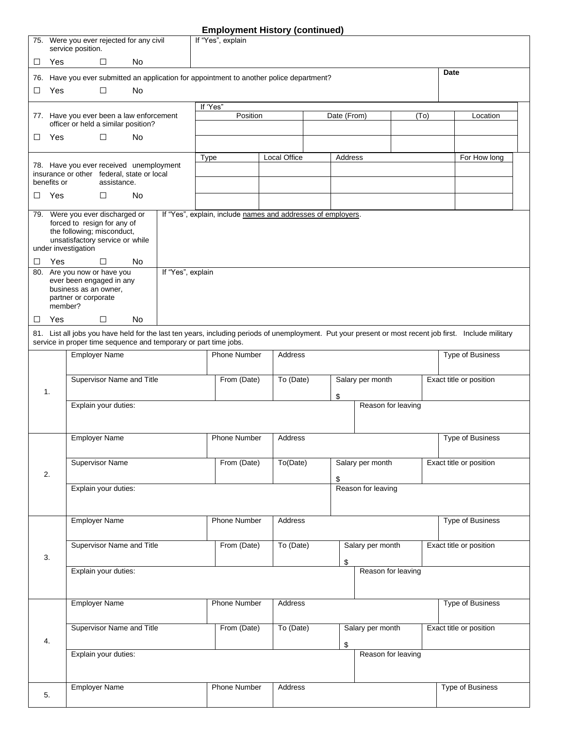# **Employment History (continued)**

|    | service position.               | 75. Were you ever rejected for any civil                  |                                                                                          | If "Yes", explain |                     |                                                              |             |                                             |      |                                                                                                                                                        |  |  |
|----|---------------------------------|-----------------------------------------------------------|------------------------------------------------------------------------------------------|-------------------|---------------------|--------------------------------------------------------------|-------------|---------------------------------------------|------|--------------------------------------------------------------------------------------------------------------------------------------------------------|--|--|
| □  | Yes                             | □                                                         | No                                                                                       |                   |                     |                                                              |             |                                             |      |                                                                                                                                                        |  |  |
|    |                                 |                                                           | 76. Have you ever submitted an application for appointment to another police department? |                   |                     |                                                              |             |                                             |      | Date                                                                                                                                                   |  |  |
| □  | Yes                             | $\Box$                                                    | No                                                                                       |                   |                     |                                                              |             |                                             |      |                                                                                                                                                        |  |  |
|    |                                 |                                                           |                                                                                          | If 'Yes"          |                     |                                                              |             |                                             |      |                                                                                                                                                        |  |  |
|    |                                 | officer or held a similar position?                       | 77. Have you ever been a law enforcement                                                 |                   | Position            |                                                              | Date (From) |                                             | (To) | Location                                                                                                                                               |  |  |
| ⊔  | Yes                             | □                                                         | No                                                                                       |                   |                     |                                                              |             |                                             |      |                                                                                                                                                        |  |  |
|    |                                 |                                                           |                                                                                          |                   |                     | Local Office                                                 | Address     |                                             |      | For How long                                                                                                                                           |  |  |
|    |                                 |                                                           | 78. Have you ever received unemployment                                                  | <b>Type</b>       |                     |                                                              |             |                                             |      |                                                                                                                                                        |  |  |
|    | benefits or                     | insurance or other federal, state or local<br>assistance. |                                                                                          |                   |                     |                                                              |             |                                             |      |                                                                                                                                                        |  |  |
| ⊔  | Yes                             | $\Box$                                                    | <b>No</b>                                                                                |                   |                     |                                                              |             |                                             |      |                                                                                                                                                        |  |  |
|    |                                 | 79. Were you ever discharged or                           |                                                                                          |                   |                     | If "Yes", explain, include names and addresses of employers. |             |                                             |      |                                                                                                                                                        |  |  |
|    |                                 | forced to resign for any of<br>the following; misconduct, |                                                                                          |                   |                     |                                                              |             |                                             |      |                                                                                                                                                        |  |  |
|    |                                 | unsatisfactory service or while                           |                                                                                          |                   |                     |                                                              |             |                                             |      |                                                                                                                                                        |  |  |
| □  | under investigation<br>Yes      | $\Box$                                                    | No                                                                                       |                   |                     |                                                              |             |                                             |      |                                                                                                                                                        |  |  |
|    | 80. Are you now or have you     |                                                           | If "Yes", explain                                                                        |                   |                     |                                                              |             |                                             |      |                                                                                                                                                        |  |  |
|    | business as an owner,           | ever been engaged in any                                  |                                                                                          |                   |                     |                                                              |             |                                             |      |                                                                                                                                                        |  |  |
|    | partner or corporate<br>member? |                                                           |                                                                                          |                   |                     |                                                              |             |                                             |      |                                                                                                                                                        |  |  |
| ⊔  | <b>Yes</b>                      | □                                                         | <b>No</b>                                                                                |                   |                     |                                                              |             |                                             |      |                                                                                                                                                        |  |  |
|    |                                 |                                                           |                                                                                          |                   |                     |                                                              |             |                                             |      | 81. List all jobs you have held for the last ten years, including periods of unemployment. Put your present or most recent job first. Include military |  |  |
|    |                                 |                                                           | service in proper time sequence and temporary or part time jobs.                         |                   |                     |                                                              |             |                                             |      |                                                                                                                                                        |  |  |
|    |                                 | <b>Employer Name</b>                                      |                                                                                          |                   | <b>Phone Number</b> | <b>Address</b>                                               |             |                                             |      | Type of Business                                                                                                                                       |  |  |
|    |                                 | Supervisor Name and Title                                 |                                                                                          |                   | From (Date)         | To (Date)                                                    |             | Salary per month                            |      | Exact title or position                                                                                                                                |  |  |
| 1. |                                 |                                                           |                                                                                          |                   |                     |                                                              | \$          |                                             |      |                                                                                                                                                        |  |  |
|    |                                 | Explain your duties:                                      |                                                                                          |                   |                     |                                                              |             | Reason for leaving                          |      |                                                                                                                                                        |  |  |
|    |                                 |                                                           |                                                                                          |                   |                     |                                                              |             |                                             |      |                                                                                                                                                        |  |  |
|    |                                 | <b>Employer Name</b>                                      |                                                                                          |                   | <b>Phone Number</b> | Address                                                      |             |                                             |      | <b>Type of Business</b>                                                                                                                                |  |  |
|    |                                 |                                                           |                                                                                          |                   |                     |                                                              |             |                                             |      |                                                                                                                                                        |  |  |
| 2. |                                 | <b>Supervisor Name</b>                                    |                                                                                          |                   | From (Date)         | To(Date)                                                     |             | Salary per month<br>Exact title or position |      |                                                                                                                                                        |  |  |
|    |                                 | Explain your duties:                                      |                                                                                          |                   |                     |                                                              | \$          | Reason for leaving                          |      |                                                                                                                                                        |  |  |
|    |                                 |                                                           |                                                                                          |                   |                     |                                                              |             |                                             |      |                                                                                                                                                        |  |  |
|    |                                 | <b>Employer Name</b>                                      |                                                                                          |                   | Phone Number        | Address                                                      |             |                                             |      | Type of Business                                                                                                                                       |  |  |
|    |                                 |                                                           |                                                                                          |                   |                     |                                                              |             |                                             |      |                                                                                                                                                        |  |  |
|    |                                 | Supervisor Name and Title                                 |                                                                                          |                   | From (Date)         | To (Date)                                                    |             | Salary per month                            |      | Exact title or position                                                                                                                                |  |  |
| 3. |                                 |                                                           |                                                                                          |                   |                     |                                                              | \$          |                                             |      |                                                                                                                                                        |  |  |
|    |                                 | Explain your duties:                                      |                                                                                          |                   |                     |                                                              |             | Reason for leaving                          |      |                                                                                                                                                        |  |  |
|    |                                 |                                                           |                                                                                          |                   |                     |                                                              |             |                                             |      |                                                                                                                                                        |  |  |
|    |                                 | <b>Employer Name</b>                                      |                                                                                          |                   | <b>Phone Number</b> | Address                                                      |             |                                             |      | <b>Type of Business</b>                                                                                                                                |  |  |
|    |                                 |                                                           |                                                                                          |                   |                     |                                                              |             |                                             |      |                                                                                                                                                        |  |  |
| 4. |                                 | Supervisor Name and Title                                 |                                                                                          |                   | From (Date)         | To (Date)                                                    |             | Salary per month                            |      | Exact title or position                                                                                                                                |  |  |
|    |                                 | Explain your duties:                                      |                                                                                          |                   |                     |                                                              | \$          | Reason for leaving                          |      |                                                                                                                                                        |  |  |
|    |                                 |                                                           |                                                                                          |                   |                     |                                                              |             |                                             |      |                                                                                                                                                        |  |  |
|    |                                 |                                                           |                                                                                          |                   |                     |                                                              |             |                                             |      |                                                                                                                                                        |  |  |
| 5. |                                 | <b>Employer Name</b>                                      |                                                                                          |                   | Phone Number        | Address                                                      |             |                                             |      | Type of Business                                                                                                                                       |  |  |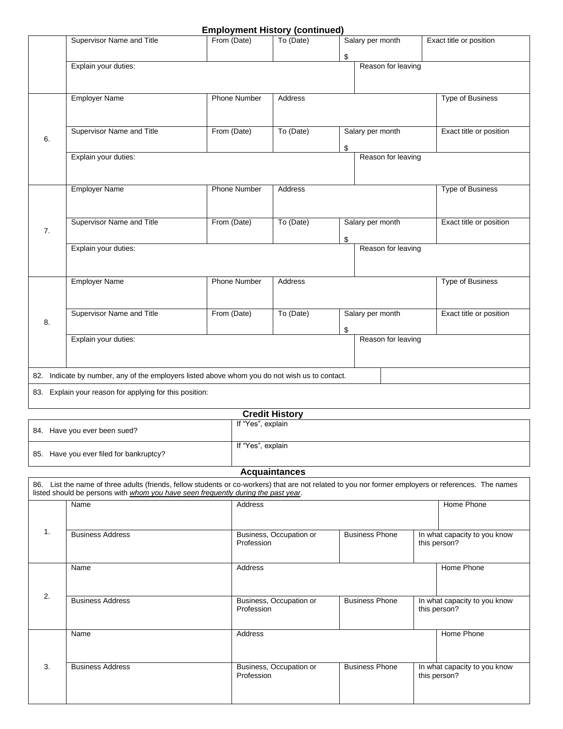#### **Employment History (continued)**

|    | Supervisor Name and Title                                                                                                                            | From (Date)         |                   | To (Date)               | Exact title or position<br>Salary per month |  |                                              |  |
|----|------------------------------------------------------------------------------------------------------------------------------------------------------|---------------------|-------------------|-------------------------|---------------------------------------------|--|----------------------------------------------|--|
|    |                                                                                                                                                      |                     |                   |                         | \$                                          |  |                                              |  |
|    | Explain your duties:                                                                                                                                 |                     |                   |                         | Reason for leaving                          |  |                                              |  |
|    |                                                                                                                                                      |                     |                   |                         |                                             |  |                                              |  |
|    |                                                                                                                                                      |                     |                   |                         |                                             |  |                                              |  |
|    | <b>Employer Name</b>                                                                                                                                 | <b>Phone Number</b> |                   | <b>Address</b>          |                                             |  | <b>Type of Business</b>                      |  |
|    |                                                                                                                                                      |                     |                   |                         |                                             |  |                                              |  |
|    | Supervisor Name and Title                                                                                                                            | From (Date)         |                   | To (Date)               | Salary per month                            |  | Exact title or position                      |  |
| 6. |                                                                                                                                                      |                     |                   |                         |                                             |  |                                              |  |
|    | Explain your duties:                                                                                                                                 |                     |                   |                         | \$<br>Reason for leaving                    |  |                                              |  |
|    |                                                                                                                                                      |                     |                   |                         |                                             |  |                                              |  |
|    |                                                                                                                                                      |                     |                   |                         |                                             |  |                                              |  |
|    | <b>Employer Name</b>                                                                                                                                 | Phone Number        |                   | Address                 |                                             |  | Type of Business                             |  |
|    |                                                                                                                                                      |                     |                   |                         |                                             |  |                                              |  |
|    |                                                                                                                                                      |                     |                   |                         |                                             |  |                                              |  |
| 7. | Supervisor Name and Title                                                                                                                            | From (Date)         |                   | To (Date)               | Salary per month                            |  | Exact title or position                      |  |
|    |                                                                                                                                                      |                     |                   |                         | \$                                          |  |                                              |  |
|    | Explain your duties:                                                                                                                                 |                     |                   |                         | Reason for leaving                          |  |                                              |  |
|    |                                                                                                                                                      |                     |                   |                         |                                             |  |                                              |  |
|    | <b>Employer Name</b>                                                                                                                                 | <b>Phone Number</b> |                   | Address                 |                                             |  | <b>Type of Business</b>                      |  |
|    |                                                                                                                                                      |                     |                   |                         |                                             |  |                                              |  |
|    |                                                                                                                                                      |                     |                   |                         |                                             |  |                                              |  |
|    | Supervisor Name and Title                                                                                                                            | From (Date)         |                   | To (Date)               | Salary per month                            |  | Exact title or position                      |  |
| 8. |                                                                                                                                                      |                     |                   |                         | \$                                          |  |                                              |  |
|    | Explain your duties:                                                                                                                                 |                     |                   |                         | Reason for leaving                          |  |                                              |  |
|    |                                                                                                                                                      |                     |                   |                         |                                             |  |                                              |  |
|    |                                                                                                                                                      |                     |                   |                         |                                             |  |                                              |  |
|    | 82. Indicate by number, any of the employers listed above whom you do not wish us to contact.                                                        |                     |                   |                         |                                             |  |                                              |  |
|    | 83. Explain your reason for applying for this position:                                                                                              |                     |                   |                         |                                             |  |                                              |  |
|    |                                                                                                                                                      |                     |                   |                         |                                             |  |                                              |  |
|    |                                                                                                                                                      |                     | If "Yes", explain | <b>Credit History</b>   |                                             |  |                                              |  |
|    | 84. Have you ever been sued?                                                                                                                         |                     |                   |                         |                                             |  |                                              |  |
|    |                                                                                                                                                      |                     | If "Yes", explain |                         |                                             |  |                                              |  |
|    | 85. Have you ever filed for bankruptcy?                                                                                                              |                     |                   |                         |                                             |  |                                              |  |
|    |                                                                                                                                                      |                     |                   | <b>Acquaintances</b>    |                                             |  |                                              |  |
|    | 86. List the name of three adults (friends, fellow students or co-workers) that are not related to you nor former employers or references. The names |                     |                   |                         |                                             |  |                                              |  |
|    | listed should be persons with whom you have seen frequently during the past year.                                                                    |                     |                   |                         |                                             |  |                                              |  |
|    | Name                                                                                                                                                 |                     | Address           |                         |                                             |  | Home Phone                                   |  |
|    |                                                                                                                                                      |                     |                   |                         |                                             |  |                                              |  |
| 1. | <b>Business Address</b>                                                                                                                              |                     |                   | Business, Occupation or | <b>Business Phone</b>                       |  | In what capacity to you know                 |  |
|    |                                                                                                                                                      |                     | Profession        |                         |                                             |  | this person?                                 |  |
|    |                                                                                                                                                      |                     |                   |                         |                                             |  |                                              |  |
|    | Name                                                                                                                                                 |                     | Address           |                         |                                             |  | Home Phone                                   |  |
|    |                                                                                                                                                      |                     |                   |                         |                                             |  |                                              |  |
| 2. | <b>Business Address</b>                                                                                                                              |                     |                   | Business, Occupation or | <b>Business Phone</b>                       |  | In what capacity to you know                 |  |
|    |                                                                                                                                                      |                     | Profession        |                         |                                             |  | this person?                                 |  |
|    |                                                                                                                                                      |                     |                   |                         |                                             |  |                                              |  |
|    | Name                                                                                                                                                 |                     | Address           |                         |                                             |  | Home Phone                                   |  |
|    |                                                                                                                                                      |                     |                   |                         |                                             |  |                                              |  |
|    |                                                                                                                                                      |                     |                   |                         |                                             |  |                                              |  |
| 3. | <b>Business Address</b>                                                                                                                              |                     | Profession        | Business, Occupation or | <b>Business Phone</b>                       |  | In what capacity to you know<br>this person? |  |
|    |                                                                                                                                                      |                     |                   |                         |                                             |  |                                              |  |
|    |                                                                                                                                                      |                     |                   |                         |                                             |  |                                              |  |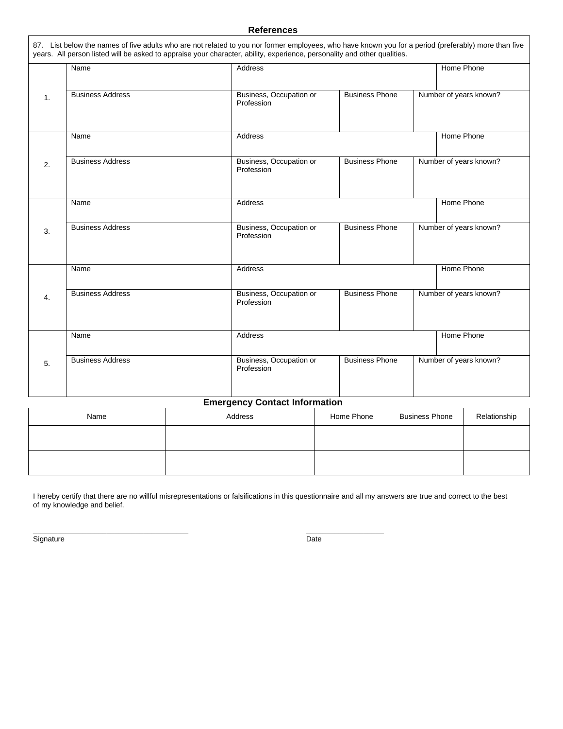#### **References**

|                | Name                    | <b>Address</b>                        |                       | Home Phone             |
|----------------|-------------------------|---------------------------------------|-----------------------|------------------------|
| $\mathbf{1}$ . | <b>Business Address</b> | Business, Occupation or<br>Profession | <b>Business Phone</b> | Number of years known? |
|                | Name                    | Address                               |                       | Home Phone             |
| 2.             | <b>Business Address</b> | Business, Occupation or<br>Profession | <b>Business Phone</b> | Number of years known? |
|                | Name                    | <b>Address</b>                        |                       | Home Phone             |
| 3.             | <b>Business Address</b> | Business, Occupation or<br>Profession | <b>Business Phone</b> | Number of years known? |
|                | Name                    | Address                               |                       | Home Phone             |
| 4.             | <b>Business Address</b> | Business, Occupation or<br>Profession | <b>Business Phone</b> | Number of years known? |
|                | Name                    | Address                               |                       | Home Phone             |
| 5.             | <b>Business Address</b> | Business, Occupation or<br>Profession | <b>Business Phone</b> | Number of years known? |

#### **Emergency Contact Information**

| Name | Address | Home Phone | <b>Business Phone</b> | Relationship |
|------|---------|------------|-----------------------|--------------|
|      |         |            |                       |              |
|      |         |            |                       |              |

I hereby certify that there are no willful misrepresentations or falsifications in this questionnaire and all my answers are true and correct to the best of my knowledge and belief.

Signature Date

 $\overline{\phantom{a}}$  , and the contribution of the contribution of the contribution of the contribution of the contribution of the contribution of the contribution of the contribution of the contribution of the contribution of the